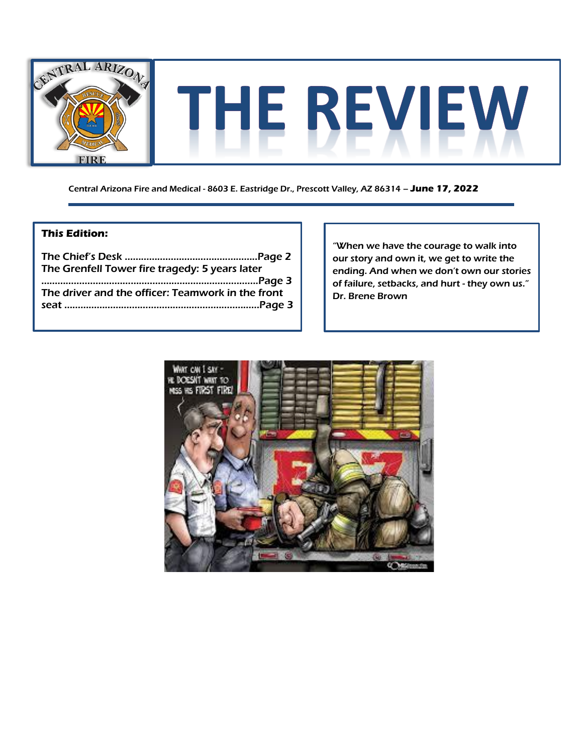

Central Arizona Fire and Medical - 8603 E. Eastridge Dr., Prescott Valley, AZ 86314 – **June 17, 2022**

#### **This Edition:**

| The Grenfell Tower fire tragedy: 5 years later    |
|---------------------------------------------------|
|                                                   |
| The driver and the officer: Teamwork in the front |
|                                                   |
|                                                   |

"When we have the courage to walk into our story and own it, we get to write the ending. And when we don't own our stories of failure, setbacks, and hurt - they own us." Dr. Brene Brown

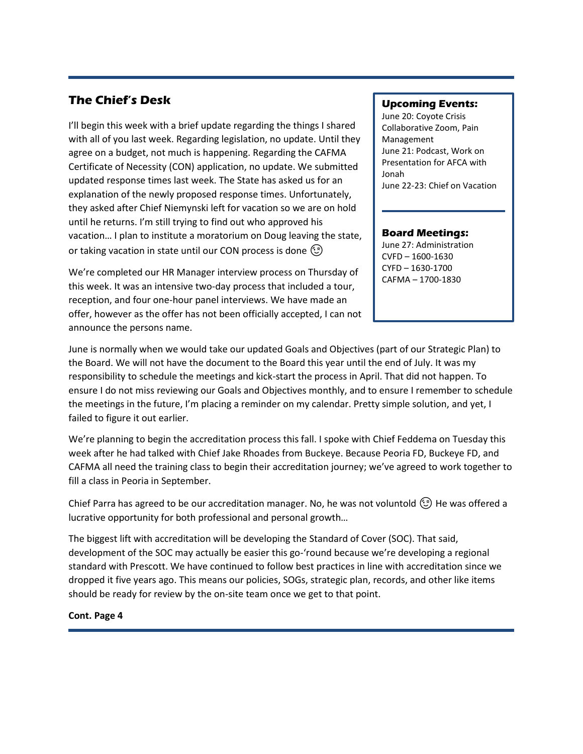### **The Chief's Desk**

I'll begin this week with a brief update regarding the things I shared with all of you last week. Regarding legislation, no update. Until they agree on a budget, not much is happening. Regarding the CAFMA Certificate of Necessity (CON) application, no update. We submitted updated response times last week. The State has asked us for an explanation of the newly proposed response times. Unfortunately, they asked after Chief Niemynski left for vacation so we are on hold until he returns. I'm still trying to find out who approved his vacation… I plan to institute a moratorium on Doug leaving the state, or taking vacation in state until our CON process is done  $\circled{c}$ 

We're completed our HR Manager interview process on Thursday of this week. It was an intensive two-day process that included a tour, reception, and four one-hour panel interviews. We have made an offer, however as the offer has not been officially accepted, I can not announce the persons name.

#### **Upcoming Events:**

June 20: Coyote Crisis Collaborative Zoom, Pain Management June 21: Podcast, Work on Presentation for AFCA with Jonah June 22-23: Chief on Vacation

#### **Board Meetings:**

June 27: Administration CVFD – 1600-1630 CYFD – 1630-1700 CAFMA – 1700-1830

June is normally when we would take our updated Goals and Objectives (part of our Strategic Plan) to the Board. We will not have the document to the Board this year until the end of July. It was my responsibility to schedule the meetings and kick-start the process in April. That did not happen. To ensure I do not miss reviewing our Goals and Objectives monthly, and to ensure I remember to schedule the meetings in the future, I'm placing a reminder on my calendar. Pretty simple solution, and yet, I failed to figure it out earlier.

We're planning to begin the accreditation process this fall. I spoke with Chief Feddema on Tuesday this week after he had talked with Chief Jake Rhoades from Buckeye. Because Peoria FD, Buckeye FD, and CAFMA all need the training class to begin their accreditation journey; we've agreed to work together to fill a class in Peoria in September.

Chief Parra has agreed to be our accreditation manager. No, he was not voluntold  $\circled{c}$  He was offered a lucrative opportunity for both professional and personal growth…

The biggest lift with accreditation will be developing the Standard of Cover (SOC). That said, development of the SOC may actually be easier this go-'round because we're developing a regional standard with Prescott. We have continued to follow best practices in line with accreditation since we dropped it five years ago. This means our policies, SOGs, strategic plan, records, and other like items should be ready for review by the on-site team once we get to that point.

#### **Cont. Page 4**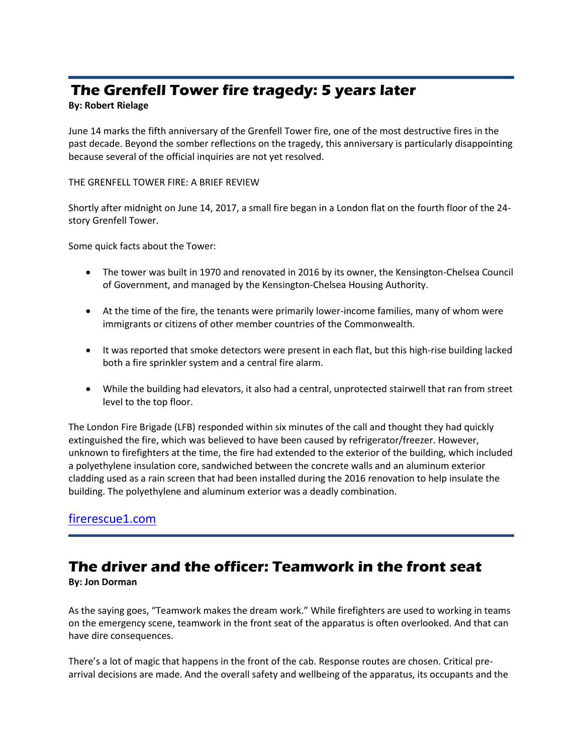# **The Grenfell Tower fire tragedy: 5 years later**

### **By: Robert Rielage**

June 14 marks the fifth anniversary of the Grenfell Tower fire, one of the most destructive fires in the past decade. Beyond the somber reflections on the tragedy, this anniversary is particularly disappointing because several of the official inquiries are not yet resolved.

#### THE GRENFELL TOWER FIRE: A BRIEF REVIEW

Shortly after midnight on June 14, 2017, a small fire began in a London flat on the fourth floor of the 24 story Grenfell Tower.

Some quick facts about the Tower:

- The tower was built in 1970 and renovated in 2016 by its owner, the Kensington-Chelsea Council of Government, and managed by the Kensington-Chelsea Housing Authority.
- At the time of the fire, the tenants were primarily lower-income families, many of whom were immigrants or citizens of other member countries of the Commonwealth.
- It was reported that smoke detectors were present in each flat, but this high-rise building lacked both a fire sprinkler system and a central fire alarm.
- While the building had elevators, it also had a central, unprotected stairwell that ran from street level to the top floor.

The London Fire Brigade (LFB) responded within six minutes of the call and thought they had quickly extinguished the fire, which was believed to have been caused by refrigerator/freezer. However, unknown to firefighters at the time, the fire had extended to the exterior of the building, which included a polyethylene insulation core, sandwiched between the concrete walls and an aluminum exterior cladding used as a rain screen that had been installed during the 2016 renovation to help insulate the building. The polyethylene and aluminum exterior was a deadly combination.

## [firerescue1.com](https://www.firerescue1.com/community-risk-reduction/articles/the-grenfell-tower-fire-tragedy-5-years-later-4KTVp2AwEgSR0AML/?utm_source=FireRescue1&utm_campaign=0e25d17f83-EMAIL_CAMPAIGN_2022_06_14_07_17&utm_medium=email&utm_term=0_1d76c7ca1b-0e25d17f83-90577048)

## **The driver and the officer: Teamwork in the front seat**

### **By: Jon Dorman**

As the saying goes, "Teamwork makes the dream work." While firefighters are used to working in teams on the emergency scene, teamwork in the front seat of the apparatus is often overlooked. And that can have dire consequences.

There's a lot of magic that happens in the front of the cab. Response routes are chosen. Critical prearrival decisions are made. And the overall safety and wellbeing of the apparatus, its occupants and the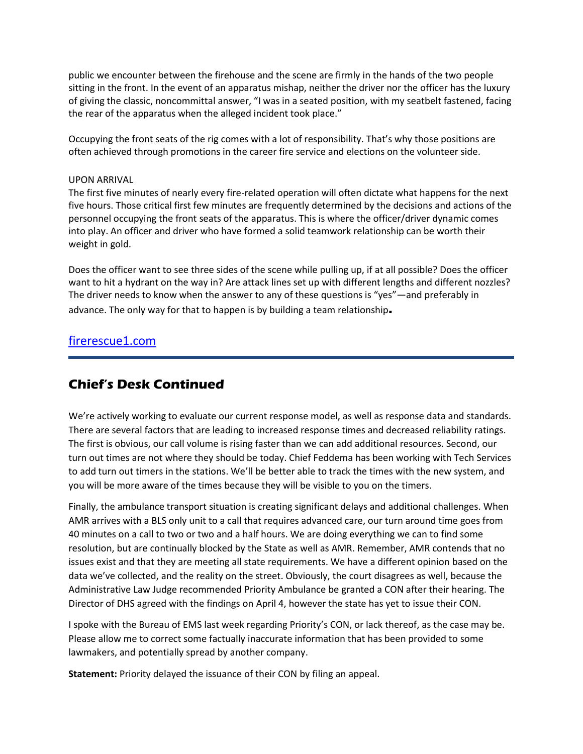public we encounter between the firehouse and the scene are firmly in the hands of the two people sitting in the front. In the event of an apparatus mishap, neither the driver nor the officer has the luxury of giving the classic, noncommittal answer, "I was in a seated position, with my seatbelt fastened, facing the rear of the apparatus when the alleged incident took place."

Occupying the front seats of the rig comes with a lot of responsibility. That's why those positions are often achieved through promotions in the career fire service and elections on the volunteer side.

#### UPON ARRIVAL

The first five minutes of nearly every fire-related operation will often dictate what happens for the next five hours. Those critical first few minutes are frequently determined by the decisions and actions of the personnel occupying the front seats of the apparatus. This is where the officer/driver dynamic comes into play. An officer and driver who have formed a solid teamwork relationship can be worth their weight in gold.

Does the officer want to see three sides of the scene while pulling up, if at all possible? Does the officer want to hit a hydrant on the way in? Are attack lines set up with different lengths and different nozzles? The driver needs to know when the answer to any of these questions is "yes"—and preferably in advance. The only way for that to happen is by building a team relationship**.**

### [firerescue1.com](https://www.firerescue1.com/leadership/articles/the-driver-and-the-officer-teamwork-in-the-front-seat-xSI4OJwX387H65sJ/?fbclid=IwAR1RkMQsN7KR02bI6_8o9g_eyT8CDkTf88ZCqLyFxLzMEk8f3sixW16T20M)

## **Chief's Desk Continued**

We're actively working to evaluate our current response model, as well as response data and standards. There are several factors that are leading to increased response times and decreased reliability ratings. The first is obvious, our call volume is rising faster than we can add additional resources. Second, our turn out times are not where they should be today. Chief Feddema has been working with Tech Services to add turn out timers in the stations. We'll be better able to track the times with the new system, and you will be more aware of the times because they will be visible to you on the timers.

Finally, the ambulance transport situation is creating significant delays and additional challenges. When AMR arrives with a BLS only unit to a call that requires advanced care, our turn around time goes from 40 minutes on a call to two or two and a half hours. We are doing everything we can to find some resolution, but are continually blocked by the State as well as AMR. Remember, AMR contends that no issues exist and that they are meeting all state requirements. We have a different opinion based on the data we've collected, and the reality on the street. Obviously, the court disagrees as well, because the Administrative Law Judge recommended Priority Ambulance be granted a CON after their hearing. The Director of DHS agreed with the findings on April 4, however the state has yet to issue their CON.

I spoke with the Bureau of EMS last week regarding Priority's CON, or lack thereof, as the case may be. Please allow me to correct some factually inaccurate information that has been provided to some lawmakers, and potentially spread by another company.

**Statement:** Priority delayed the issuance of their CON by filing an appeal.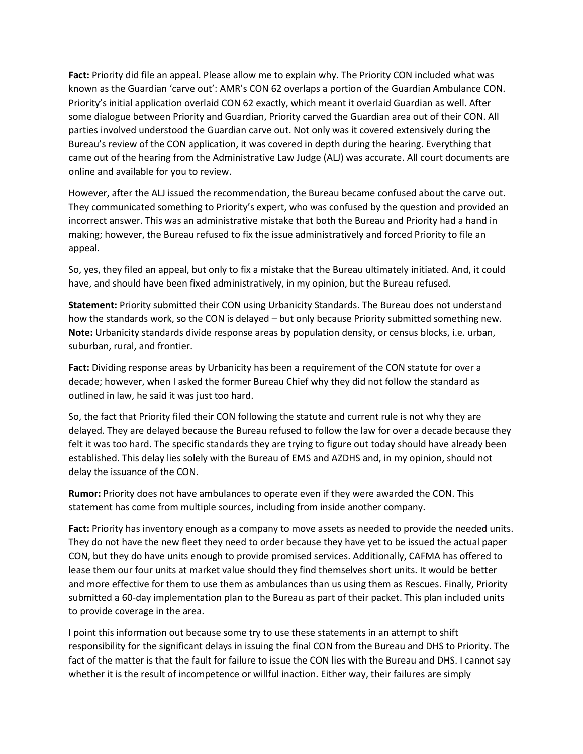**Fact:** Priority did file an appeal. Please allow me to explain why. The Priority CON included what was known as the Guardian 'carve out': AMR's CON 62 overlaps a portion of the Guardian Ambulance CON. Priority's initial application overlaid CON 62 exactly, which meant it overlaid Guardian as well. After some dialogue between Priority and Guardian, Priority carved the Guardian area out of their CON. All parties involved understood the Guardian carve out. Not only was it covered extensively during the Bureau's review of the CON application, it was covered in depth during the hearing. Everything that came out of the hearing from the Administrative Law Judge (ALJ) was accurate. All court documents are online and available for you to review.

However, after the ALJ issued the recommendation, the Bureau became confused about the carve out. They communicated something to Priority's expert, who was confused by the question and provided an incorrect answer. This was an administrative mistake that both the Bureau and Priority had a hand in making; however, the Bureau refused to fix the issue administratively and forced Priority to file an appeal.

So, yes, they filed an appeal, but only to fix a mistake that the Bureau ultimately initiated. And, it could have, and should have been fixed administratively, in my opinion, but the Bureau refused.

**Statement:** Priority submitted their CON using Urbanicity Standards. The Bureau does not understand how the standards work, so the CON is delayed – but only because Priority submitted something new. **Note:** Urbanicity standards divide response areas by population density, or census blocks, i.e. urban, suburban, rural, and frontier.

**Fact:** Dividing response areas by Urbanicity has been a requirement of the CON statute for over a decade; however, when I asked the former Bureau Chief why they did not follow the standard as outlined in law, he said it was just too hard.

So, the fact that Priority filed their CON following the statute and current rule is not why they are delayed. They are delayed because the Bureau refused to follow the law for over a decade because they felt it was too hard. The specific standards they are trying to figure out today should have already been established. This delay lies solely with the Bureau of EMS and AZDHS and, in my opinion, should not delay the issuance of the CON.

**Rumor:** Priority does not have ambulances to operate even if they were awarded the CON. This statement has come from multiple sources, including from inside another company.

Fact: Priority has inventory enough as a company to move assets as needed to provide the needed units. They do not have the new fleet they need to order because they have yet to be issued the actual paper CON, but they do have units enough to provide promised services. Additionally, CAFMA has offered to lease them our four units at market value should they find themselves short units. It would be better and more effective for them to use them as ambulances than us using them as Rescues. Finally, Priority submitted a 60-day implementation plan to the Bureau as part of their packet. This plan included units to provide coverage in the area.

I point this information out because some try to use these statements in an attempt to shift responsibility for the significant delays in issuing the final CON from the Bureau and DHS to Priority. The fact of the matter is that the fault for failure to issue the CON lies with the Bureau and DHS. I cannot say whether it is the result of incompetence or willful inaction. Either way, their failures are simply